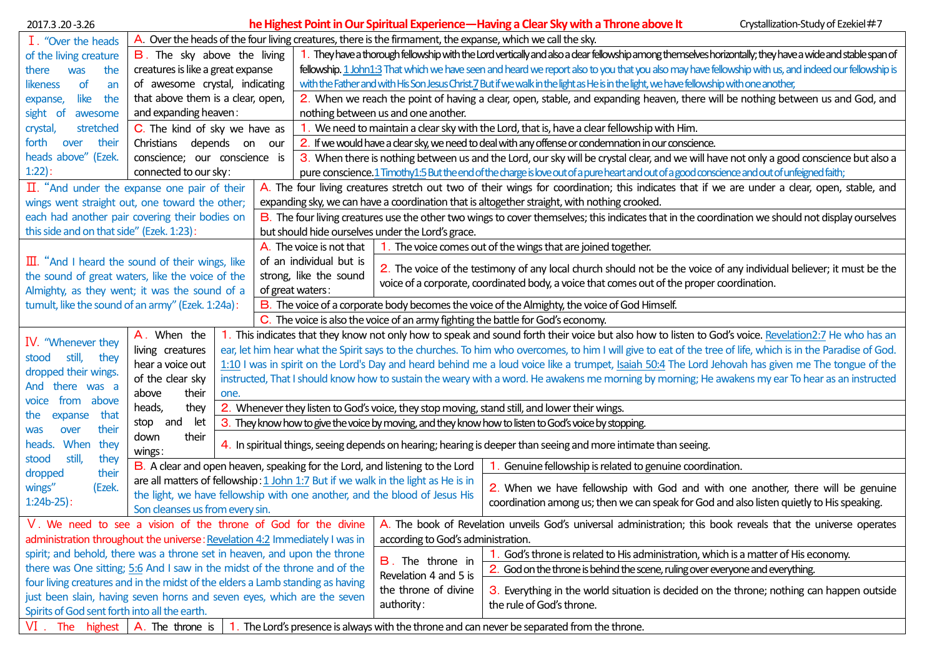| 2017.3.20-3.26                                                                                                                      | Crystallization-Study of Ezekiel#7<br>he Highest Point in Our Spiritual Experience—Having a Clear Sky with a Throne above It                                            |                                                                                                                 |                                                                                                                                                                                                                                                                                             |                                                   |                                                                                                                                                               |  |  |
|-------------------------------------------------------------------------------------------------------------------------------------|-------------------------------------------------------------------------------------------------------------------------------------------------------------------------|-----------------------------------------------------------------------------------------------------------------|---------------------------------------------------------------------------------------------------------------------------------------------------------------------------------------------------------------------------------------------------------------------------------------------|---------------------------------------------------|---------------------------------------------------------------------------------------------------------------------------------------------------------------|--|--|
| I. "Over the heads                                                                                                                  | A. Over the heads of the four living creatures, there is the firmament, the expanse, which we call the sky.                                                             |                                                                                                                 |                                                                                                                                                                                                                                                                                             |                                                   |                                                                                                                                                               |  |  |
| of the living creature                                                                                                              | <b>B</b> . The sky above the living                                                                                                                                     |                                                                                                                 | 1. They have a thorough fellowship with the Lord vertically and also a dear fellowship among themselves horizontally; they have a wide and stable span of                                                                                                                                   |                                                   |                                                                                                                                                               |  |  |
| the<br>there<br>was                                                                                                                 | creatures is like a great expanse                                                                                                                                       |                                                                                                                 | fellowship. 1 John1:3 That which we have seen and heard we report also to you that you also may have fellowship with us, and indeed our fellowship is                                                                                                                                       |                                                   |                                                                                                                                                               |  |  |
| of<br>likeness<br>an                                                                                                                | of awesome crystal, indicating                                                                                                                                          |                                                                                                                 | with the Father and with His Son Jesus Christ.7 But if we walk in the light as He is in the light, we have fellowship with one another,                                                                                                                                                     |                                                   |                                                                                                                                                               |  |  |
| like<br>the<br>expanse,                                                                                                             | that above them is a clear, open,                                                                                                                                       |                                                                                                                 | 2. When we reach the point of having a clear, open, stable, and expanding heaven, there will be nothing between us and God, and                                                                                                                                                             |                                                   |                                                                                                                                                               |  |  |
| sight of<br>awesome                                                                                                                 | and expanding heaven:                                                                                                                                                   |                                                                                                                 | nothing between us and one another.                                                                                                                                                                                                                                                         |                                                   |                                                                                                                                                               |  |  |
| crystal,<br>stretched                                                                                                               | C. The kind of sky we have as                                                                                                                                           |                                                                                                                 | We need to maintain a clear sky with the Lord, that is, have a clear fellowship with Him.                                                                                                                                                                                                   |                                                   |                                                                                                                                                               |  |  |
| forth<br>their<br>over                                                                                                              | Christians depends on<br>our                                                                                                                                            |                                                                                                                 | 2. If we would have a clear sky, we need to deal with any offense or condemnation in our conscience.                                                                                                                                                                                        |                                                   |                                                                                                                                                               |  |  |
| heads above" (Ezek.                                                                                                                 | conscience; our conscience is                                                                                                                                           |                                                                                                                 | 3. When there is nothing between us and the Lord, our sky will be crystal clear, and we will have not only a good conscience but also a                                                                                                                                                     |                                                   |                                                                                                                                                               |  |  |
| $1:22$ :                                                                                                                            | connected to our sky:                                                                                                                                                   |                                                                                                                 | pure conscience.1 Timothy1:5 But the end of the charge is love out of a pure heart and out of a good conscience and out of unfeigned faith;                                                                                                                                                 |                                                   |                                                                                                                                                               |  |  |
| $\Pi$ . "And under the expanse one pair of their                                                                                    |                                                                                                                                                                         |                                                                                                                 |                                                                                                                                                                                                                                                                                             |                                                   | A. The four living creatures stretch out two of their wings for coordination; this indicates that if we are under a clear, open, stable, and                  |  |  |
| wings went straight out, one toward the other;                                                                                      |                                                                                                                                                                         |                                                                                                                 | expanding sky, we can have a coordination that is altogether straight, with nothing crooked.                                                                                                                                                                                                |                                                   |                                                                                                                                                               |  |  |
| each had another pair covering their bodies on                                                                                      |                                                                                                                                                                         |                                                                                                                 | B. The four living creatures use the other two wings to cover themselves; this indicates that in the coordination we should not display ourselves                                                                                                                                           |                                                   |                                                                                                                                                               |  |  |
| this side and on that side" (Ezek. 1:23):                                                                                           |                                                                                                                                                                         |                                                                                                                 |                                                                                                                                                                                                                                                                                             | but should hide ourselves under the Lord's grace. |                                                                                                                                                               |  |  |
|                                                                                                                                     |                                                                                                                                                                         |                                                                                                                 | A. The voice is not that                                                                                                                                                                                                                                                                    |                                                   | 1. The voice comes out of the wings that are joined together.                                                                                                 |  |  |
| $\overline{III}$ . "And I heard the sound of their wings, like                                                                      |                                                                                                                                                                         |                                                                                                                 | of an individual but is<br>2. The voice of the testimony of any local church should not be the voice of any individual believer; it must be the<br>strong, like the sound<br>voice of a corporate, coordinated body, a voice that comes out of the proper coordination.<br>of great waters: |                                                   |                                                                                                                                                               |  |  |
| the sound of great waters, like the voice of the                                                                                    |                                                                                                                                                                         |                                                                                                                 |                                                                                                                                                                                                                                                                                             |                                                   |                                                                                                                                                               |  |  |
| Almighty, as they went; it was the sound of a<br>tumult, like the sound of an army" (Ezek. 1:24a):                                  |                                                                                                                                                                         |                                                                                                                 | B. The voice of a corporate body becomes the voice of the Almighty, the voice of God Himself.                                                                                                                                                                                               |                                                   |                                                                                                                                                               |  |  |
|                                                                                                                                     |                                                                                                                                                                         |                                                                                                                 |                                                                                                                                                                                                                                                                                             |                                                   | C. The voice is also the voice of an army fighting the battle for God's economy.                                                                              |  |  |
|                                                                                                                                     | A. When the                                                                                                                                                             |                                                                                                                 |                                                                                                                                                                                                                                                                                             |                                                   | 1. This indicates that they know not only how to speak and sound forth their voice but also how to listen to God's voice. Revelation2:7 He who has an         |  |  |
| IV. "Whenever they                                                                                                                  | living creatures                                                                                                                                                        |                                                                                                                 |                                                                                                                                                                                                                                                                                             |                                                   | ear, let him hear what the Spirit says to the churches. To him who overcomes, to him I will give to eat of the tree of life, which is in the Paradise of God. |  |  |
| still,<br>stood<br>they                                                                                                             | 1:10 I was in spirit on the Lord's Day and heard behind me a loud voice like a trumpet, Isaiah 50:4 The Lord Jehovah has given me The tongue of the<br>hear a voice out |                                                                                                                 |                                                                                                                                                                                                                                                                                             |                                                   |                                                                                                                                                               |  |  |
| dropped their wings.                                                                                                                | of the clear sky<br>instructed, That I should know how to sustain the weary with a word. He awakens me morning by morning; He awakens my ear To hear as an instructed   |                                                                                                                 |                                                                                                                                                                                                                                                                                             |                                                   |                                                                                                                                                               |  |  |
| And there was a                                                                                                                     | their<br>above<br>one.<br>above<br>heads,<br>they<br>2. Whenever they listen to God's voice, they stop moving, stand still, and lower their wings.                      |                                                                                                                 |                                                                                                                                                                                                                                                                                             |                                                   |                                                                                                                                                               |  |  |
| from<br>voice                                                                                                                       |                                                                                                                                                                         |                                                                                                                 |                                                                                                                                                                                                                                                                                             |                                                   |                                                                                                                                                               |  |  |
| that<br>the<br>expanse                                                                                                              | stop and<br>let                                                                                                                                                         | 3. They know how to give the voice by moving, and they know how to listen to God's voice by stopping.           |                                                                                                                                                                                                                                                                                             |                                                   |                                                                                                                                                               |  |  |
| their<br>over<br>was<br>heads. When<br>they                                                                                         | their<br>down                                                                                                                                                           | 4. In spiritual things, seeing depends on hearing; hearing is deeper than seeing and more intimate than seeing. |                                                                                                                                                                                                                                                                                             |                                                   |                                                                                                                                                               |  |  |
| still,<br>stood<br>they                                                                                                             | wings:<br>Genuine fellowship is related to genuine coordination.                                                                                                        |                                                                                                                 |                                                                                                                                                                                                                                                                                             |                                                   |                                                                                                                                                               |  |  |
| their<br>dropped                                                                                                                    | B. A clear and open heaven, speaking for the Lord, and listening to the Lord<br>are all matters of fellowship: 1 John 1:7 But if we walk in the light as He is in       |                                                                                                                 |                                                                                                                                                                                                                                                                                             |                                                   |                                                                                                                                                               |  |  |
| wings"<br>(Ezek.                                                                                                                    | 2. When we have fellowship with God and with one another, there will be genuine<br>the light, we have fellowship with one another, and the blood of Jesus His           |                                                                                                                 |                                                                                                                                                                                                                                                                                             |                                                   |                                                                                                                                                               |  |  |
| $1:24b-25$ :                                                                                                                        | coordination among us; then we can speak for God and also listen quietly to His speaking.<br>Son cleanses us from every sin.                                            |                                                                                                                 |                                                                                                                                                                                                                                                                                             |                                                   |                                                                                                                                                               |  |  |
| V. We need to see a vision of the throne of God for the divine                                                                      |                                                                                                                                                                         |                                                                                                                 |                                                                                                                                                                                                                                                                                             |                                                   | A. The book of Revelation unveils God's universal administration; this book reveals that the universe operates                                                |  |  |
| administration throughout the universe: Revelation 4:2 Immediately I was in                                                         |                                                                                                                                                                         |                                                                                                                 |                                                                                                                                                                                                                                                                                             | according to God's administration.                |                                                                                                                                                               |  |  |
| spirit; and behold, there was a throne set in heaven, and upon the throne                                                           |                                                                                                                                                                         |                                                                                                                 |                                                                                                                                                                                                                                                                                             |                                                   | God's throne is related to His administration, which is a matter of His economy.                                                                              |  |  |
| there was One sitting; 5:6 And I saw in the midst of the throne and of the                                                          |                                                                                                                                                                         |                                                                                                                 |                                                                                                                                                                                                                                                                                             | <b>B</b> . The throne in                          | 2. God on the throne is behind the scene, ruling over everyone and everything.                                                                                |  |  |
| four living creatures and in the midst of the elders a Lamb standing as having                                                      |                                                                                                                                                                         |                                                                                                                 |                                                                                                                                                                                                                                                                                             | Revelation 4 and 5 is<br>the throne of divine     | 3. Everything in the world situation is decided on the throne; nothing can happen outside                                                                     |  |  |
| just been slain, having seven horns and seven eyes, which are the seven                                                             |                                                                                                                                                                         |                                                                                                                 |                                                                                                                                                                                                                                                                                             | authority:                                        | the rule of God's throne.                                                                                                                                     |  |  |
| Spirits of God sent forth into all the earth.                                                                                       |                                                                                                                                                                         |                                                                                                                 |                                                                                                                                                                                                                                                                                             |                                                   |                                                                                                                                                               |  |  |
| $VI$ . The highest $A$ . The throne is<br>The Lord's presence is always with the throne and can never be separated from the throne. |                                                                                                                                                                         |                                                                                                                 |                                                                                                                                                                                                                                                                                             |                                                   |                                                                                                                                                               |  |  |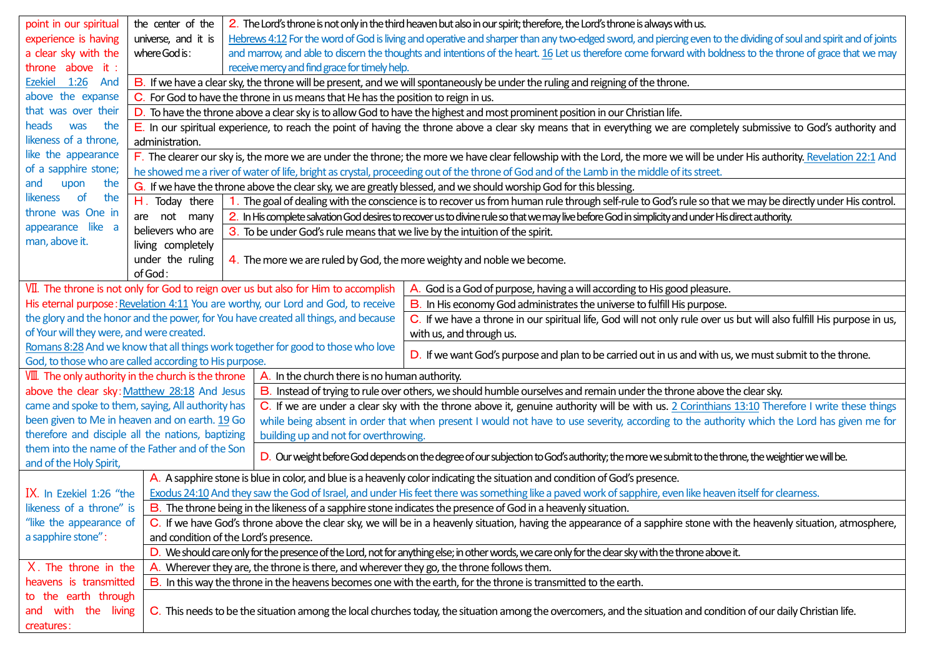| point in our spiritual                                                                                                                                                                              | the center of the                                                                                                                                                          | 2. The Lord's throne is not only in the third heaven but also in our spirit; therefore, the Lord's throne is always with us.                                                                                 |  |  |  |  |  |
|-----------------------------------------------------------------------------------------------------------------------------------------------------------------------------------------------------|----------------------------------------------------------------------------------------------------------------------------------------------------------------------------|--------------------------------------------------------------------------------------------------------------------------------------------------------------------------------------------------------------|--|--|--|--|--|
| experience is having                                                                                                                                                                                | universe, and it is                                                                                                                                                        | Hebrews 4:12 For the word of God is living and operative and sharper than any two-edged sword, and piercing even to the dividing of soul and spirit and of joints                                            |  |  |  |  |  |
| a clear sky with the                                                                                                                                                                                | where God is:                                                                                                                                                              | and marrow, and able to discern the thoughts and intentions of the heart. 16 Let us therefore come forward with boldness to the throne of grace that we may                                                  |  |  |  |  |  |
| throne above it :                                                                                                                                                                                   | receive mercy and find grace for timely help.                                                                                                                              |                                                                                                                                                                                                              |  |  |  |  |  |
| Ezekiel 1:26 And                                                                                                                                                                                    | B. If we have a clear sky, the throne will be present, and we will spontaneously be under the ruling and reigning of the throne.                                           |                                                                                                                                                                                                              |  |  |  |  |  |
| above the expanse                                                                                                                                                                                   | C. For God to have the throne in us means that He has the position to reign in us.                                                                                         |                                                                                                                                                                                                              |  |  |  |  |  |
| that was over their                                                                                                                                                                                 | D. To have the throne above a clear sky is to allow God to have the highest and most prominent position in our Christian life.                                             |                                                                                                                                                                                                              |  |  |  |  |  |
| heads<br>was<br>the                                                                                                                                                                                 | E. In our spiritual experience, to reach the point of having the throne above a clear sky means that in everything we are completely submissive to God's authority and     |                                                                                                                                                                                                              |  |  |  |  |  |
| likeness of a throne,                                                                                                                                                                               | administration.                                                                                                                                                            |                                                                                                                                                                                                              |  |  |  |  |  |
| like the appearance                                                                                                                                                                                 | F. The clearer our sky is, the more we are under the throne; the more we have clear fellowship with the Lord, the more we will be under His authority. Revelation 22:1 And |                                                                                                                                                                                                              |  |  |  |  |  |
| of a sapphire stone;                                                                                                                                                                                | he showed me a river of water of life, bright as crystal, proceeding out of the throne of God and of the Lamb in the middle of its street.                                 |                                                                                                                                                                                                              |  |  |  |  |  |
| and<br>upon<br>the                                                                                                                                                                                  | G. If we have the throne above the clear sky, we are greatly blessed, and we should worship God for this blessing.                                                         |                                                                                                                                                                                                              |  |  |  |  |  |
| likeness of<br>the                                                                                                                                                                                  | The goal of dealing with the conscience is to recover us from human rule through self-rule to God's rule so that we may be directly under His control.<br>$H.$ Today there |                                                                                                                                                                                                              |  |  |  |  |  |
| throne was One in                                                                                                                                                                                   | are not many<br>2. In His complete salvation God desires to recover us to divine rule so that we may live before God in simplicity and under His direct authority.         |                                                                                                                                                                                                              |  |  |  |  |  |
| appearance like a                                                                                                                                                                                   | believers who are<br>3. To be under God's rule means that we live by the intuition of the spirit.                                                                          |                                                                                                                                                                                                              |  |  |  |  |  |
| man, above it.                                                                                                                                                                                      | living completely                                                                                                                                                          |                                                                                                                                                                                                              |  |  |  |  |  |
|                                                                                                                                                                                                     | under the ruling                                                                                                                                                           | 4. The more we are ruled by God, the more weighty and noble we become.                                                                                                                                       |  |  |  |  |  |
|                                                                                                                                                                                                     | of God:                                                                                                                                                                    |                                                                                                                                                                                                              |  |  |  |  |  |
|                                                                                                                                                                                                     |                                                                                                                                                                            | VII. The throne is not only for God to reign over us but also for Him to accomplish<br>A. God is a God of purpose, having a will according to His good pleasure.                                             |  |  |  |  |  |
|                                                                                                                                                                                                     |                                                                                                                                                                            | His eternal purpose: Revelation 4:11 You are worthy, our Lord and God, to receive<br>B. In His economy God administrates the universe to fulfill His purpose.                                                |  |  |  |  |  |
|                                                                                                                                                                                                     |                                                                                                                                                                            | the glory and the honor and the power, for You have created all things, and because<br>C. If we have a throne in our spiritual life, God will not only rule over us but will also fulfill His purpose in us, |  |  |  |  |  |
| of Your will they were, and were created.                                                                                                                                                           |                                                                                                                                                                            | with us, and through us.                                                                                                                                                                                     |  |  |  |  |  |
|                                                                                                                                                                                                     |                                                                                                                                                                            | Romans 8:28 And we know that all things work together for good to those who love<br>D. If we want God's purpose and plan to be carried out in us and with us, we must submit to the throne.                  |  |  |  |  |  |
| God, to those who are called according to His purpose.                                                                                                                                              |                                                                                                                                                                            |                                                                                                                                                                                                              |  |  |  |  |  |
| VIII. The only authority in the church is the throne<br>A. In the church there is no human authority.                                                                                               |                                                                                                                                                                            |                                                                                                                                                                                                              |  |  |  |  |  |
| above the clear sky: Matthew 28:18 And Jesus                                                                                                                                                        |                                                                                                                                                                            | B. Instead of trying to rule over others, we should humble ourselves and remain under the throne above the clear sky.                                                                                        |  |  |  |  |  |
| came and spoke to them, saying, All authority has                                                                                                                                                   |                                                                                                                                                                            | C. If we are under a clear sky with the throne above it, genuine authority will be with us. 2 Corinthians 13:10 Therefore I write these things                                                               |  |  |  |  |  |
| been given to Me in heaven and on earth. 19 Go                                                                                                                                                      |                                                                                                                                                                            | while being absent in order that when present I would not have to use severity, according to the authority which the Lord has given me for                                                                   |  |  |  |  |  |
| therefore and disciple all the nations, baptizing                                                                                                                                                   |                                                                                                                                                                            | building up and not for overthrowing.                                                                                                                                                                        |  |  |  |  |  |
| them into the name of the Father and of the Son<br>D. Our weight before God depends on the degree of our subjection to God's authority; the more we submit to the throne, the weightier we will be. |                                                                                                                                                                            |                                                                                                                                                                                                              |  |  |  |  |  |
| and of the Holy Spirit,                                                                                                                                                                             |                                                                                                                                                                            |                                                                                                                                                                                                              |  |  |  |  |  |
|                                                                                                                                                                                                     | A. A sapphire stone is blue in color, and blue is a heavenly color indicating the situation and condition of God's presence.                                               |                                                                                                                                                                                                              |  |  |  |  |  |
| IX. In Ezekiel 1:26 "the                                                                                                                                                                            | Exodus 24:10 And they saw the God of Israel, and under His feet there was something like a paved work of sapphire, even like heaven itself for clearness.                  |                                                                                                                                                                                                              |  |  |  |  |  |
| likeness of a throne" is                                                                                                                                                                            | B. The throne being in the likeness of a sapphire stone indicates the presence of God in a heavenly situation.                                                             |                                                                                                                                                                                                              |  |  |  |  |  |
| "like the appearance of                                                                                                                                                                             |                                                                                                                                                                            | C. If we have God's throne above the clear sky, we will be in a heavenly situation, having the appearance of a sapphire stone with the heavenly situation, atmosphere,                                       |  |  |  |  |  |
| a sapphire stone":                                                                                                                                                                                  | and condition of the Lord's presence.                                                                                                                                      |                                                                                                                                                                                                              |  |  |  |  |  |
|                                                                                                                                                                                                     | D. We should care only for the presence of the Lord, not for anything else; in other words, we care only for the clear sky with the throne above it.                       |                                                                                                                                                                                                              |  |  |  |  |  |
| X. The throne in the                                                                                                                                                                                | Wherever they are, the throne is there, and wherever they go, the throne follows them.                                                                                     |                                                                                                                                                                                                              |  |  |  |  |  |
| heavens is transmitted                                                                                                                                                                              | B. In this way the throne in the heavens becomes one with the earth, for the throne is transmitted to the earth.                                                           |                                                                                                                                                                                                              |  |  |  |  |  |
| to the earth through                                                                                                                                                                                |                                                                                                                                                                            |                                                                                                                                                                                                              |  |  |  |  |  |
| with<br>the living<br>and                                                                                                                                                                           | C. This needs to be the situation among the local churches today, the situation among the overcomers, and the situation and condition of our daily Christian life.         |                                                                                                                                                                                                              |  |  |  |  |  |
| creatures:                                                                                                                                                                                          |                                                                                                                                                                            |                                                                                                                                                                                                              |  |  |  |  |  |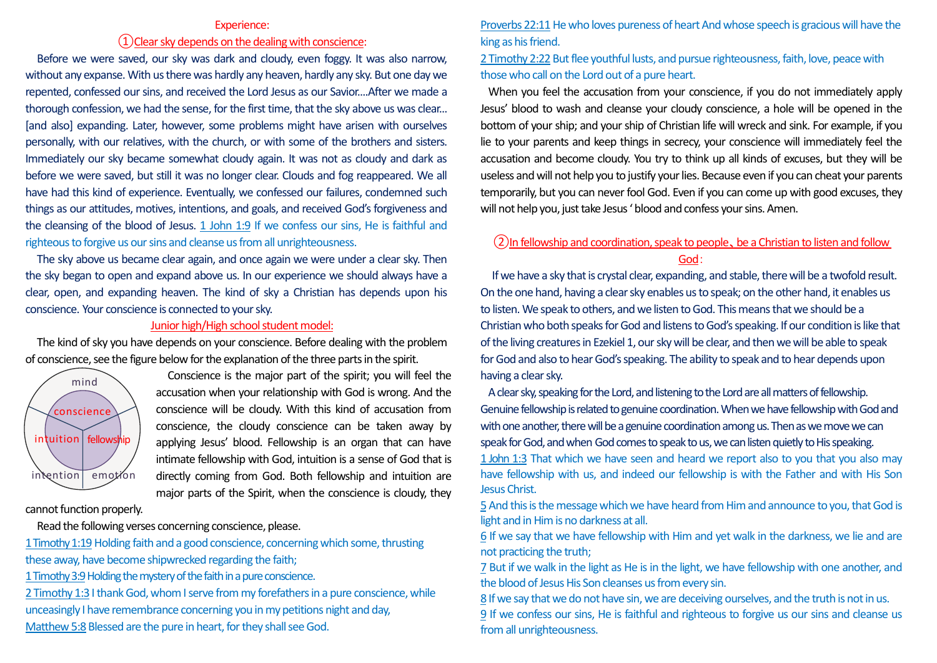#### Experience:

# ①Clear sky depends on the dealing with conscience:

Before we were saved, our sky was dark and cloudy, even foggy. It was also narrow, without any expanse. With us there was hardly any heaven, hardly any sky. But one day we repented, confessed our sins, and received the Lord Jesus as our Savior....After we made a thorough confession, we had the sense, for the first time, that the sky above us was clear... [and also] expanding. Later, however, some problems might have arisen with ourselves personally, with our relatives, with the church, or with some of the brothers and sisters. Immediately our sky became somewhat cloudy again. It was not as cloudy and dark as before we were saved, but still it was no longer clear. Clouds and fog reappeared. We all have had this kind of experience. Eventually, we confessed our failures, condemned such things as our attitudes, motives, intentions, and goals, and received God's forgiveness and the cleansing of the blood of Jesus. 1 John 1:9 If we confess our sins, He is faithful and righteous to forgive us our sins and cleanse us from all unrighteousness.

The sky above us became clear again, and once again we were under a clear sky. Then the sky began to open and expand above us. In our experience we should always have a clear, open, and expanding heaven. The kind of sky a Christian has depends upon his conscience. Your conscience is connected to your sky.

## Junior high/High school student model:

The kind of sky you have depends on your conscience. Before dealing with the problem of conscience, see the figure below for the explanation of the three parts in the spirit.



Conscience is the major part of the spirit; you will feel the accusation when your relationship with God is wrong. And the conscience will be cloudy. With this kind of accusation from conscience, the cloudy conscience can be taken away by applying Jesus' blood. Fellowship is an organ that can have intimate fellowship with God, intuition is a sense of God that is directly coming from God. Both fellowship and intuition are major parts of the Spirit, when the conscience is cloudy, they

cannot function properly.

Read the following verses concerning conscience, please.

1 Timothy 1:19 Holding faith and a good conscience, concerning which some, thrusting these away, have become shipwrecked regarding the faith;

1 Timothy 3:9 Holding the mystery of the faith in a pure conscience.

2 Timothy 1:3 I thank God, whom I serve from my forefathers in a pure conscience, while unceasingly I have remembrance concerning you in my petitions night and day, Matthew 5:8 Blessed are the pure in heart, for they shall see God.

Proverbs 22:11He who loves pureness of heart And whose speech is gracious will have the king as his friend.

# 2 Timothy 2:22 But flee youthful lusts, and pursue righteousness, faith, love, peace with those who call on the Lord out of a pure heart.

When you feel the accusation from your conscience, if you do not immediately apply Jesus' blood to wash and cleanse your cloudy conscience, a hole will be opened in the bottom of your ship; and your ship of Christian life will wreck and sink. For example, if you lie to your parents and keep things in secrecy, your conscience will immediately feel the accusation and become cloudy. You try to think up all kinds of excuses, but they will be useless and will not help you to justify your lies. Because even if you can cheat your parents temporarily, but you can never fool God. Even if you can come up with good excuses, they will not help you, just take Jesus 'blood and confess your sins. Amen.

### ②In fellowship and coordination, speak to people、be a Christian to listen and follow God:

If we have a sky that is crystal clear, expanding, and stable, there will be a twofold result. On the one hand, having a clear sky enables us to speak; on the other hand, it enables us to listen. We speak to others, and we listen to God. This means that we should be a Christian who both speaks for God and listens to God's speaking. If our condition is like that of the living creatures in Ezekiel 1, our sky will be clear, and then we will be able to speak for God and also to hear God's speaking. The ability to speak and to hear depends upon having a clear sky.

A clear sky, speaking for the Lord, and listening to the Lord are all matters of fellowship. Genuine fellowship is related to genuine coordination. When we have fellowship with God and with one another, there will be a genuine coordination among us. Then as we move we can speak for God, and when God comes to speak to us, we can listen quietly to His speaking. 1 John 1:3 That which we have seen and heard we report also to you that you also may have fellowship with us, and indeed our fellowship is with the Father and with His Son Jesus Christ.

5 And this is the message which we have heard from Him and announce to you, that God is light and in Him is no darkness at all.

6 If we say that we have fellowship with Him and yet walk in the darkness, we lie and are not practicing the truth;

7 But if we walk in the light as He is in the light, we have fellowship with one another, and the blood of Jesus His Son cleanses us from every sin.

8 If we say that we do not have sin, we are deceiving ourselves, and the truth is not in us. 9 If we confess our sins, He is faithful and righteous to forgive us our sins and cleanse us from all unrighteousness.